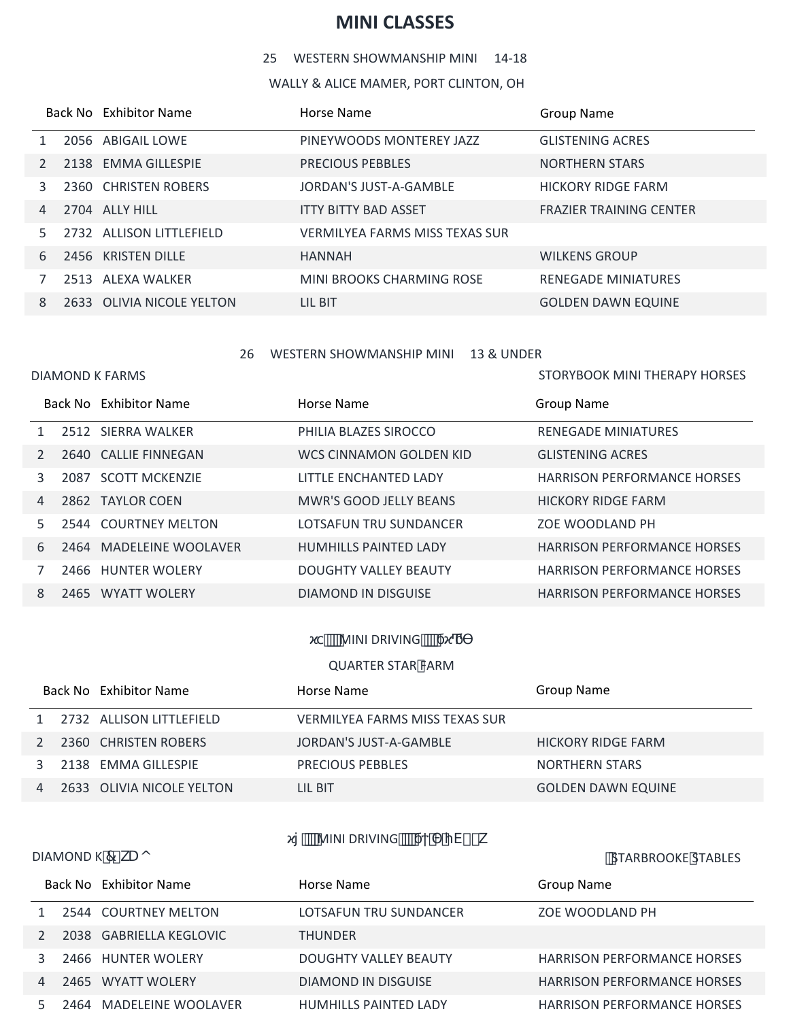# **MINI CLASSES**

WESTERN SHOWMANSHIP MINI 14-18

WALLY & ALICE MAMER, PORT CLINTON, OH

|               | Back No Exhibitor Name    | Horse Name                            | <b>Group Name</b>              |
|---------------|---------------------------|---------------------------------------|--------------------------------|
|               | 2056 ABIGAIL LOWE         | PINEYWOODS MONTEREY JAZZ              | <b>GLISTENING ACRES</b>        |
| $\mathcal{P}$ | 2138 EMMA GILLESPIE       | <b>PRECIOUS PEBBLES</b>               | <b>NORTHERN STARS</b>          |
| 3             | 2360 CHRISTEN ROBERS      | JORDAN'S JUST-A-GAMBLE                | <b>HICKORY RIDGE FARM</b>      |
| 4             | 2704 ALLY HILL            | <b>ITTY BITTY BAD ASSET</b>           | <b>FRAZIER TRAINING CENTER</b> |
| 5.            | 2732 ALLISON LITTLEFIELD  | <b>VERMILYEA FARMS MISS TEXAS SUR</b> |                                |
| 6             | 2456 KRISTEN DILLE        | <b>HANNAH</b>                         | <b>WILKENS GROUP</b>           |
|               | 2513 ALEXA WALKER         | MINI BROOKS CHARMING ROSE             | <b>RENEGADE MINIATURES</b>     |
| 8             | 2633 OLIVIA NICOLE YELTON | LIL BIT                               | <b>GOLDEN DAWN EQUINE</b>      |

26 WESTERN SHOWMANSHIP MINI 13 & UNDER

|   |      | Back No Exhibitor Name  | Horse Name                   | Group Name                         |
|---|------|-------------------------|------------------------------|------------------------------------|
|   |      | 2512 SIERRA WALKER      | PHILIA BLAZES SIROCCO        | <b>RENEGADE MINIATURES</b>         |
|   |      | 2640 CALLIE FINNEGAN    | WCS CINNAMON GOLDEN KID      | <b>GLISTENING ACRES</b>            |
| 3 | 2087 | <b>SCOTT MCKENZIE</b>   | LITTLE ENCHANTED LADY        | <b>HARRISON PERFORMANCE HORSES</b> |
| 4 |      | 2862 TAYLOR COEN        | MWR'S GOOD JELLY BEANS       | HICKORY RIDGE FARM                 |
|   |      | 2544 COURTNEY MELTON    | LOTSAFUN TRU SUNDANCER       | ZOE WOODLAND PH                    |
| 6 |      | 2464 MADELEINE WOOLAVER | <b>HUMHILLS PAINTED LADY</b> | <b>HARRISON PERFORMANCE HORSES</b> |
|   | 2466 | <b>HUNTER WOLERY</b>    | <b>DOUGHTY VALLEY BEAUTY</b> | <b>HARRISON PERFORMANCE HORSES</b> |
| 8 |      | 2465 WYATT WOLERY       | DIAMOND IN DISGUISE          | <b>HARRISON PERFORMANCE HORSES</b> |

## **<u></u>** MINI DRIVING **SHIP**

### QUARTER STAR FARM

|           | Back No Exhibitor Name    | Horse Name                     | Group Name                |
|-----------|---------------------------|--------------------------------|---------------------------|
| $1 \quad$ | 2732 ALLISON LITTLEFIELD  | VERMILYEA FARMS MISS TEXAS SUR |                           |
| 2         | 2360 CHRISTEN ROBERS      | JORDAN'S JUST-A-GAMBLE         | <b>HICKORY RIDGE FARM</b> |
|           | 3 2138 EMMA GILLESPIE     | <b>PRECIOUS PEBBLES</b>        | <b>NORTHERN STARS</b>     |
| 4         | 2633 OLIVIA NICOLE YELTON | LIL BIT                        | <b>GOLDEN DAWN EQUINE</b> |

<mark>mini Driving (α)</mark> by V) - k

DIAMOND K<sup>'7</sup> kU o control of the state of the state of the state of the state of the state of the state of the state of the state of the state of the state of the state of the state of the state of the state of the state

STORYBOOK MINI THERAPY HORSES

|  | Back No Exhibitor Name  | Horse Name                   | Group Name                         |
|--|-------------------------|------------------------------|------------------------------------|
|  | 2544 COURTNEY MELTON    | LOTSAFUN TRU SUNDANCER       | ZOE WOODLAND PH                    |
|  | 2038 GABRIELLA KEGLOVIC | <b>THUNDER</b>               |                                    |
|  | 2466 HUNTER WOLERY      | <b>DOUGHTY VALLEY BEAUTY</b> | <b>HARRISON PERFORMANCE HORSES</b> |
|  | 2465 WYATT WOLERY       | DIAMOND IN DISGUISE          | <b>HARRISON PERFORMANCE HORSES</b> |
|  | 2464 MADELEINE WOOLAVER | <b>HUMHILLS PAINTED LADY</b> | <b>HARRISON PERFORMANCE HORSES</b> |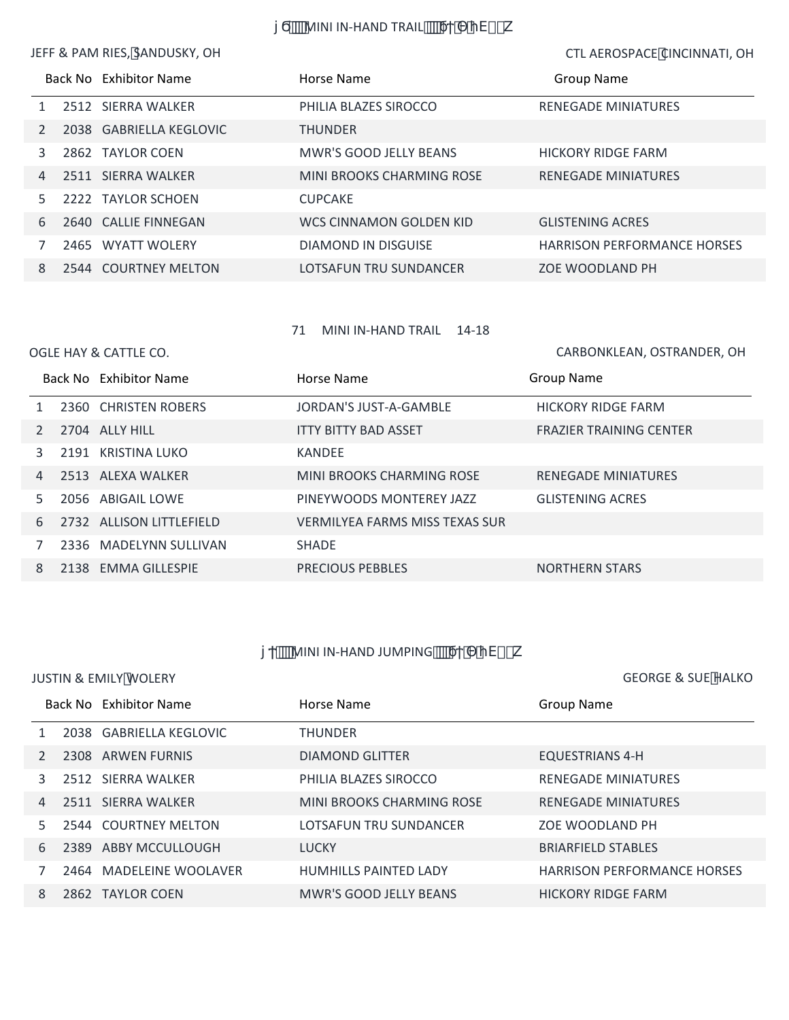**WINI IN-HAND TRAIL SAMIL** THEZZY SHEZY

JEFF & PAM RIES, SANDUSKY, OH CTL AEROSPACE CINCINNATI, OH

|   |      | Back No Exhibitor Name  | Horse Name                | Group Name                         |
|---|------|-------------------------|---------------------------|------------------------------------|
|   |      | 2512 SIERRA WALKER      | PHILIA BLAZES SIROCCO     | <b>RENEGADE MINIATURES</b>         |
|   |      | 2038 GABRIELLA KEGLOVIC | <b>THUNDER</b>            |                                    |
|   |      | 2862 TAYLOR COEN        | MWR'S GOOD JELLY BEANS    | HICKORY RIDGE FARM                 |
| 4 |      | 2511 SIERRA WALKER      | MINI BROOKS CHARMING ROSE | <b>RENEGADE MINIATURES</b>         |
|   |      | 2222 TAYLOR SCHOEN      | <b>CUPCAKE</b>            |                                    |
| 6 |      | 2640 CALLIE FINNEGAN    | WCS CINNAMON GOLDEN KID   | <b>GLISTENING ACRES</b>            |
|   | 2465 | <b>WYATT WOLERY</b>     | DIAMOND IN DISGUISE       | <b>HARRISON PERFORMANCE HORSES</b> |
| 8 |      | 2544 COURTNEY MELTON    | LOTSAFUN TRU SUNDANCER    | ZOE WOODLAND PH                    |

MINI IN-HAND TRAIL 14-18

|   | OGLE HAY & CATTLE CO.    |                                       | CARBONKLEAN, OSTRANDER, OH     |
|---|--------------------------|---------------------------------------|--------------------------------|
|   | Back No Exhibitor Name   | Horse Name                            | <b>Group Name</b>              |
|   | 2360 CHRISTEN ROBERS     | JORDAN'S JUST-A-GAMBLE                | <b>HICKORY RIDGE FARM</b>      |
|   | 2704 ALLY HILL           | <b>ITTY BITTY BAD ASSET</b>           | <b>FRAZIER TRAINING CENTER</b> |
| 3 | 2191 KRISTINA LUKO       | KANDEE                                |                                |
| 4 | 2513 ALEXA WALKER        | MINI BROOKS CHARMING ROSE             | <b>RENEGADE MINIATURES</b>     |
| 5 | 2056 ABIGAIL LOWE        | PINEYWOODS MONTEREY JAZZ              | <b>GLISTENING ACRES</b>        |
| 6 | 2732 ALLISON LITTLEFIELD | <b>VERMILYEA FARMS MISS TEXAS SUR</b> |                                |
|   | 2336 MADELYNN SULLIVAN   | <b>SHADE</b>                          |                                |
| 8 | 2138 EMMA GILLESPIE      | <b>PRECIOUS PEBBLES</b>               | <b>NORTHERN STARS</b>          |

*CONDINI IN-HAND JUMPING* (Weblarrow) - k

## JUSTIN & EMILY WOLERY **GEORGE & SUE HALKO**

|    | Back No Exhibitor Name  | Horse Name                | <b>Group Name</b>                  |
|----|-------------------------|---------------------------|------------------------------------|
|    | 2038 GABRIELLA KEGLOVIC | <b>THUNDER</b>            |                                    |
|    | 2308 ARWEN FURNIS       | <b>DIAMOND GLITTER</b>    | <b>EQUESTRIANS 4-H</b>             |
|    | 2512 SIERRA WALKER      | PHILIA BLAZES SIROCCO     | <b>RENEGADE MINIATURES</b>         |
| 4  | 2511 SIERRA WALKER      | MINI BROOKS CHARMING ROSE | <b>RENEGADE MINIATURES</b>         |
| 5. | 2544 COURTNEY MELTON    | LOTSAFUN TRU SUNDANCER    | <b>ZOE WOODLAND PH</b>             |
| 6  | 2389 ABBY MCCULLOUGH    | <b>LUCKY</b>              | <b>BRIARFIELD STABLES</b>          |
|    | 2464 MADELEINE WOOLAVER | HUMHILLS PAINTED LADY     | <b>HARRISON PERFORMANCE HORSES</b> |
| 8  | 2862 TAYLOR COEN        | MWR'S GOOD JELLY BEANS    | <b>HICKORY RIDGE FARM</b>          |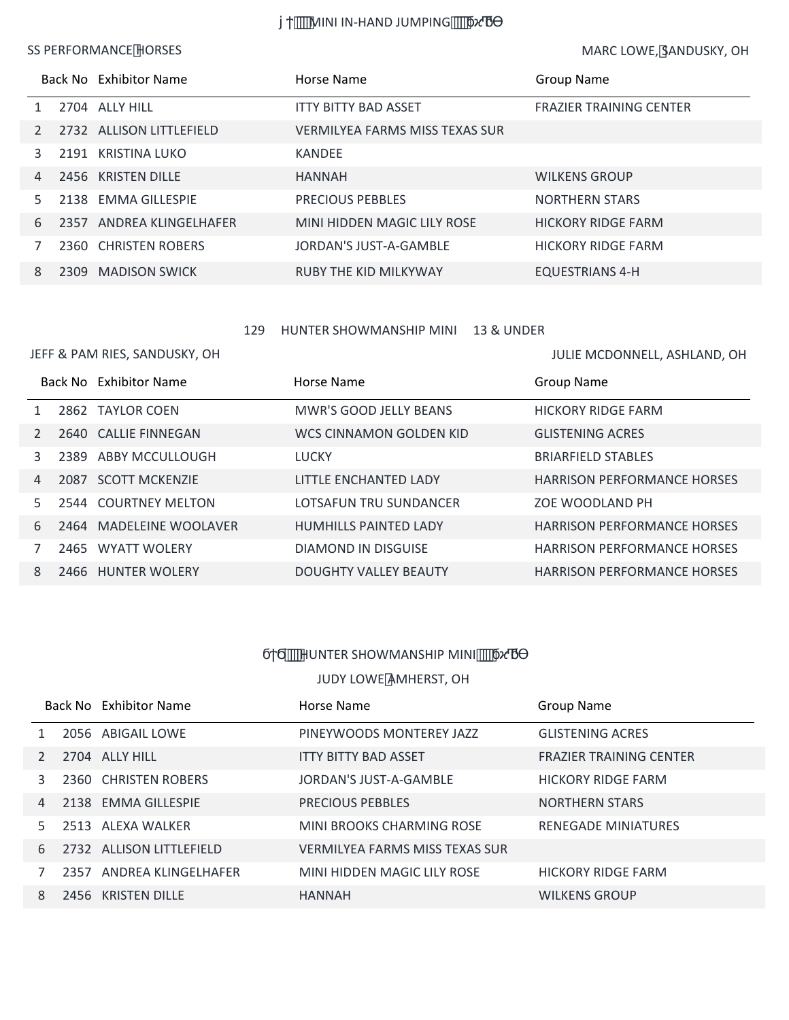*""NINI IN-HAND JUMPING""* 

### SS PERFORMANCE HORSES

MARC LOWE, SANDUSKY, OH

|    |      | Back No Exhibitor Name   | Horse Name                            | <b>Group Name</b>              |
|----|------|--------------------------|---------------------------------------|--------------------------------|
|    |      | 2704 ALLY HILL           | <b>ITTY BITTY BAD ASSET</b>           | <b>FRAZIER TRAINING CENTER</b> |
|    |      | 2732 ALLISON LITTLEFIELD | <b>VERMILYEA FARMS MISS TEXAS SUR</b> |                                |
|    |      | 2191 KRISTINA LUKO       | <b>KANDEE</b>                         |                                |
| 4  |      | 2456 KRISTEN DILLE       | <b>HANNAH</b>                         | <b>WILKENS GROUP</b>           |
| 5. |      | 2138 EMMA GILLESPIE      | <b>PRECIOUS PEBBLES</b>               | <b>NORTHERN STARS</b>          |
| 6  |      | 2357 ANDREA KLINGELHAFER | MINI HIDDEN MAGIC LILY ROSE           | <b>HICKORY RIDGE FARM</b>      |
|    |      | 2360 CHRISTEN ROBERS     | JORDAN'S JUST-A-GAMBLE                | <b>HICKORY RIDGE FARM</b>      |
| 8  | 2309 | <b>MADISON SWICK</b>     | <b>RUBY THE KID MILKYWAY</b>          | <b>EQUESTRIANS 4-H</b>         |

#### HUNTER SHOWMANSHIP MINI 13 & UNDER

#### JEFF & PAM RIES, SANDUSKY, OH

|                | JEFF & PAM RIES, SANDUSKY, OH | JULIE MCDONNELL, ASHLAND, OH |                                    |
|----------------|-------------------------------|------------------------------|------------------------------------|
|                | Back No Exhibitor Name        | Horse Name                   | <b>Group Name</b>                  |
| $\mathbf{1}$   | 2862 TAYLOR COEN              | MWR'S GOOD JELLY BEANS       | <b>HICKORY RIDGE FARM</b>          |
| $2^{\circ}$    | 2640 CALLIE FINNEGAN          | WCS CINNAMON GOLDEN KID      | <b>GLISTENING ACRES</b>            |
| $\mathbf{3}$   | 2389 ABBY MCCULLOUGH          | <b>LUCKY</b>                 | <b>BRIARFIELD STABLES</b>          |
| $\overline{4}$ | 2087 SCOTT MCKENZIE           | LITTLE ENCHANTED LADY        | <b>HARRISON PERFORMANCE HORSES</b> |
| 5              | 2544 COURTNEY MELTON          | LOTSAFUN TRU SUNDANCER       | ZOE WOODLAND PH                    |
| 6              | 2464 MADELEINE WOOLAVER       | <b>HUMHILLS PAINTED LADY</b> | <b>HARRISON PERFORMANCE HORSES</b> |
| 7              | 2465 WYATT WOLERY             | DIAMOND IN DISGUISE          | <b>HARRISON PERFORMANCE HORSES</b> |
| 8              | 2466 HUNTER WOLERY            | <b>DOUGHTY VALLEY BEAUTY</b> | <b>HARRISON PERFORMANCE HORSES</b> |

## *Ψ***ΗΨΑΤΗΣΗ SHOWMANSHIP MINI**

## JUDY LOWE AMHERST, OH

|                | Back No Exhibitor Name   | Horse Name                     | Group Name                     |
|----------------|--------------------------|--------------------------------|--------------------------------|
|                | 2056 ABIGAIL LOWE        | PINEYWOODS MONTEREY JAZZ       | <b>GLISTENING ACRES</b>        |
| $\mathcal{P}$  | 2704 ALLY HILL           | <b>ITTY BITTY BAD ASSET</b>    | <b>FRAZIER TRAINING CENTER</b> |
| 3              | 2360 CHRISTEN ROBERS     | JORDAN'S JUST-A-GAMBLE         | <b>HICKORY RIDGE FARM</b>      |
| $\overline{4}$ | 2138 EMMA GILLESPIE      | <b>PRECIOUS PEBBLES</b>        | <b>NORTHERN STARS</b>          |
| 5.             | 2513 ALEXA WALKER        | MINI BROOKS CHARMING ROSE      | <b>RENEGADE MINIATURES</b>     |
| 6              | 2732 ALLISON LITTLEFIELD | VERMILYEA FARMS MISS TEXAS SUR |                                |
|                | 2357 ANDREA KLINGELHAFER | MINI HIDDEN MAGIC LILY ROSE    | <b>HICKORY RIDGE FARM</b>      |
| 8              | 2456 KRISTEN DILLE       | <b>HANNAH</b>                  | <b>WILKENS GROUP</b>           |